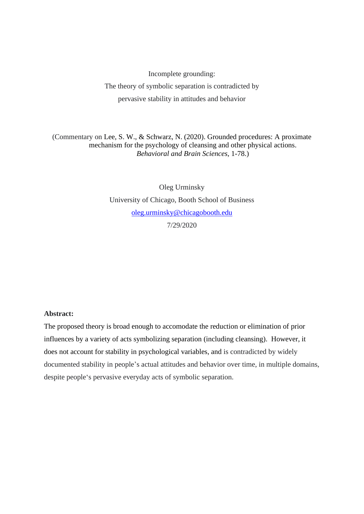Incomplete grounding:

The theory of symbolic separation is contradicted by pervasive stability in attitudes and behavior

(Commentary on Lee, S. W., & Schwarz, N. (2020). Grounded procedures: A proximate mechanism for the psychology of cleansing and other physical actions. *Behavioral and Brain Sciences*, 1-78.)

> Oleg Urminsky University of Chicago, Booth School of Business [oleg.urminsky@chicagobooth.edu](mailto:oleg.urminsky@chicagobooth.edu) 7/29/2020

## **Abstract:**

The proposed theory is broad enough to accomodate the reduction or elimination of prior influences by a variety of acts symbolizing separation (including cleansing). However, it does not account for stability in psychological variables, and is contradicted by widely documented stability in people's actual attitudes and behavior over time, in multiple domains, despite people's pervasive everyday acts of symbolic separation.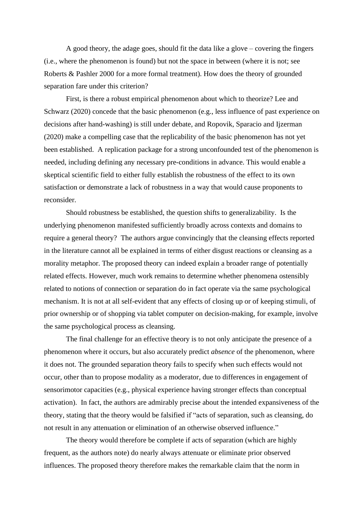A good theory, the adage goes, should fit the data like a glove – covering the fingers (i.e., where the phenomenon is found) but not the space in between (where it is not; see Roberts & Pashler 2000 for a more formal treatment). How does the theory of grounded separation fare under this criterion?

First, is there a robust empirical phenomenon about which to theorize? Lee and Schwarz (2020) concede that the basic phenomenon (e.g., less influence of past experience on decisions after hand-washing) is still under debate, and Ropovik, Sparacio and Ijzerman (2020) make a compelling case that the replicability of the basic phenomenon has not yet been established. A replication package for a strong unconfounded test of the phenomenon is needed, including defining any necessary pre-conditions in advance. This would enable a skeptical scientific field to either fully establish the robustness of the effect to its own satisfaction or demonstrate a lack of robustness in a way that would cause proponents to reconsider.

Should robustness be established, the question shifts to generalizability. Is the underlying phenomenon manifested sufficiently broadly across contexts and domains to require a general theory? The authors argue convincingly that the cleansing effects reported in the literature cannot all be explained in terms of either disgust reactions or cleansing as a morality metaphor. The proposed theory can indeed explain a broader range of potentially related effects. However, much work remains to determine whether phenomena ostensibly related to notions of connection or separation do in fact operate via the same psychological mechanism. It is not at all self-evident that any effects of closing up or of keeping stimuli, of prior ownership or of shopping via tablet computer on decision-making, for example, involve the same psychological process as cleansing.

The final challenge for an effective theory is to not only anticipate the presence of a phenomenon where it occurs, but also accurately predict *absence* of the phenomenon, where it does not. The grounded separation theory fails to specify when such effects would not occur, other than to propose modality as a moderator, due to differences in engagement of sensorimotor capacities (e.g., physical experience having stronger effects than conceptual activation). In fact, the authors are admirably precise about the intended expansiveness of the theory, stating that the theory would be falsified if "acts of separation, such as cleansing, do not result in any attenuation or elimination of an otherwise observed influence."

The theory would therefore be complete if acts of separation (which are highly frequent, as the authors note) do nearly always attenuate or eliminate prior observed influences. The proposed theory therefore makes the remarkable claim that the norm in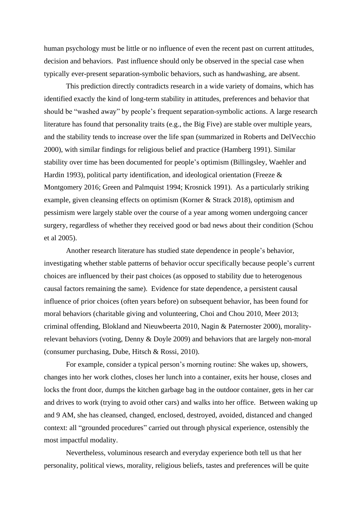human psychology must be little or no influence of even the recent past on current attitudes, decision and behaviors. Past influence should only be observed in the special case when typically ever-present separation-symbolic behaviors, such as handwashing, are absent.

This prediction directly contradicts research in a wide variety of domains, which has identified exactly the kind of long-term stability in attitudes, preferences and behavior that should be "washed away" by people's frequent separation-symbolic actions. A large research literature has found that personality traits (e.g., the Big Five) are stable over multiple years, and the stability tends to increase over the life span (summarized in Roberts and DelVecchio 2000), with similar findings for religious belief and practice (Hamberg 1991). Similar stability over time has been documented for people's optimism (Billingsley, Waehler and Hardin 1993), political party identification, and ideological orientation (Freeze & Montgomery 2016; Green and Palmquist 1994; Krosnick 1991). As a particularly striking example, given cleansing effects on optimism (Korner & Strack 2018), optimism and pessimism were largely stable over the course of a year among women undergoing cancer surgery, regardless of whether they received good or bad news about their condition (Schou et al 2005).

Another research literature has studied state dependence in people's behavior, investigating whether stable patterns of behavior occur specifically because people's current choices are influenced by their past choices (as opposed to stability due to heterogenous causal factors remaining the same). Evidence for state dependence, a persistent causal influence of prior choices (often years before) on subsequent behavior, has been found for moral behaviors (charitable giving and volunteering, Choi and Chou 2010, Meer 2013; criminal offending, Blokland and Nieuwbeerta 2010, Nagin & Paternoster 2000), moralityrelevant behaviors (voting, Denny & Doyle 2009) and behaviors that are largely non-moral (consumer purchasing, Dube, Hitsch & Rossi, 2010).

For example, consider a typical person's morning routine: She wakes up, showers, changes into her work clothes, closes her lunch into a container, exits her house, closes and locks the front door, dumps the kitchen garbage bag in the outdoor container, gets in her car and drives to work (trying to avoid other cars) and walks into her office. Between waking up and 9 AM, she has cleansed, changed, enclosed, destroyed, avoided, distanced and changed context: all "grounded procedures" carried out through physical experience, ostensibly the most impactful modality.

Nevertheless, voluminous research and everyday experience both tell us that her personality, political views, morality, religious beliefs, tastes and preferences will be quite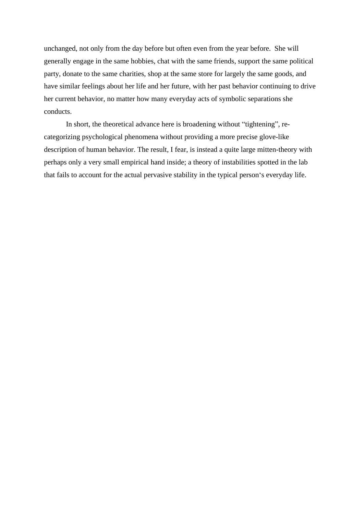unchanged, not only from the day before but often even from the year before. She will generally engage in the same hobbies, chat with the same friends, support the same political party, donate to the same charities, shop at the same store for largely the same goods, and have similar feelings about her life and her future, with her past behavior continuing to drive her current behavior, no matter how many everyday acts of symbolic separations she conducts.

In short, the theoretical advance here is broadening without "tightening", recategorizing psychological phenomena without providing a more precise glove-like description of human behavior. The result, I fear, is instead a quite large mitten-theory with perhaps only a very small empirical hand inside; a theory of instabilities spotted in the lab that fails to account for the actual pervasive stability in the typical person's everyday life.